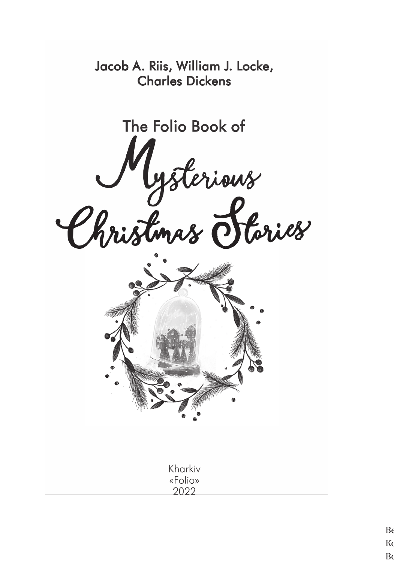

The Folio Book of

Myslerious<br>Christmas Stories



Kharkiv «Folio» 2022

> $B6$  $\kappa$  $B<sub>0</sub>$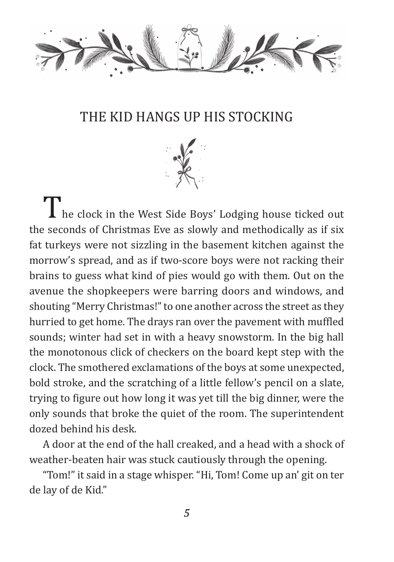

### The Kid Hangs Up His Stocking



The clock in the West Side Boys' Lodging house ticked out the seconds of Christmas Eve as slowly and methodically as if six fat turkeys were not sizzling in the basement kitchen against the morrow's spread, and as if two-score boys were not racking their brains to guess what kind of pies would go with them. Out on the avenue the shopkeepers were barring doors and windows, and shouting "Merry Christmas!" to one another across the street as they hurried to get home. The drays ran over the pavement with muffled sounds; winter had set in with a heavy snowstorm. In the big hall the monotonous click of checkers on the board kept step with the clock. The smothered exclamations of the boys at some unexpected, bold stroke, and the scratching of a little fellow's pencil on a slate, trying to figure out how long it was yet till the big dinner, were the only sounds that broke the quiet of the room. The superintendent dozed behind his desk.

A door at the end of the hall creaked, and a head with a shock of weather-beaten hair was stuck cautiously through the opening.

"Tom!" it said in a stage whisper. "Hi, Tom! Come up an' git on ter de lay of de Kid."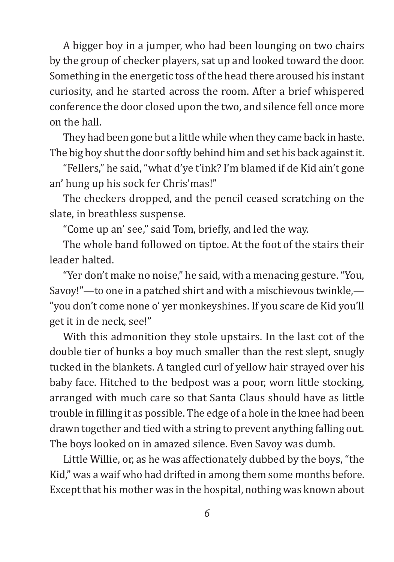A bigger boy in a jumper, who had been lounging on two chairs by the group of checker players, sat up and looked toward the door. Something in the energetic toss of the head there aroused his instant curiosity, and he started across the room. After a brief whispered conference the door closed upon the two, and silence fell once more on the hall.

They had been gone but a little while when they came back in haste. The big boy shut the door softly behind him and set his back against it.

"Fellers," he said, "what d'ye t'ink? I'm blamed if de Kid ain't gone an' hung up his sock fer Chris'mas!"

The checkers dropped, and the pencil ceased scratching on the slate, in breathless suspense.

"Come up an' see," said Tom, briefly, and led the way.

The whole band followed on tiptoe. At the foot of the stairs their leader halted.

"Yer don't make no noise," he said, with a menacing gesture. "You, Savoy!"—to one in a patched shirt and with a mischievous twinkle,— "you don't come none o' yer monkeyshines. If you scare de Kid you'll get it in de neck, see!"

With this admonition they stole upstairs. In the last cot of the double tier of bunks a boy much smaller than the rest slept, snugly tucked in the blankets. A tangled curl of yellow hair strayed over his baby face. Hitched to the bedpost was a poor, worn little stocking, arranged with much care so that Santa Claus should have as little trouble in filling it as possible. The edge of a hole in the knee had been drawn together and tied with a string to prevent anything falling out. The boys looked on in amazed silence. Even Savoy was dumb.

Little Willie, or, as he was affectionately dubbed by the boys, "the Kid," was a waif who had drifted in among them some months before. Except that his mother was in the hospital, nothing was known about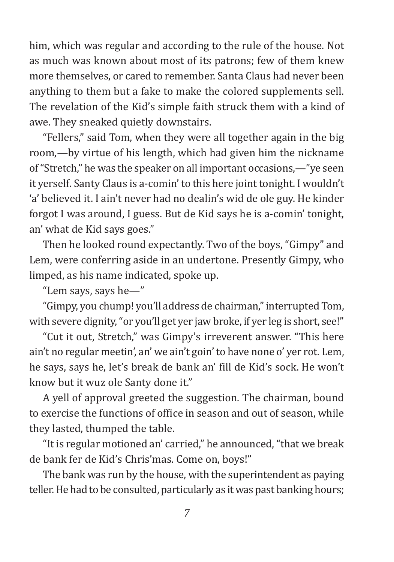him, which was regular and according to the rule of the house. Not as much was known about most of its patrons; few of them knew more themselves, or cared to remember. Santa Claus had never been anything to them but a fake to make the colored supplements sell. The revelation of the Kid's simple faith struck them with a kind of awe. They sneaked quietly downstairs.

"Fellers," said Tom, when they were all together again in the big room,—by virtue of his length, which had given him the nickname of "Stretch," he was the speaker on all important occasions,—"ye seen it yerself. Santy Claus is a-comin' to this here joint tonight. I wouldn't 'a' believed it. I ain't never had no dealin's wid de ole guy. He kinder forgot I was around, I guess. But de Kid says he is a-comin' tonight, an' what de Kid says goes."

Then he looked round expectantly. Two of the boys, "Gimpy" and Lem, were conferring aside in an undertone. Presently Gimpy, who limped, as his name indicated, spoke up.

"Lem says, says he—"

"Gimpy, you chump! you'll address de chairman," interrupted Tom, with severe dignity, "or you'll get yer jaw broke, if yer leg is short, see!"

"Cut it out, Stretch," was Gimpy's irreverent answer. "This here ain't no regular meetin', an' we ain't goin' to have none o' yer rot. Lem, he says, says he, let's break de bank an' fill de Kid's sock. He won't know but it wuz ole Santy done it."

A yell of approval greeted the suggestion. The chairman, bound to exercise the functions of office in season and out of season, while they lasted, thumped the table.

"It is regular motioned an' carried," he announced, "that we break de bank fer de Kid's Chris'mas. Come on, boys!"

The bank was run by the house, with the superintendent as paying teller. He had to be consulted, particularly as it was past banking hours;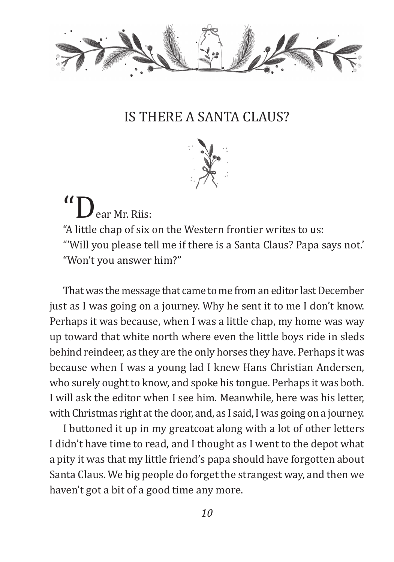

## Is There a Santa Claus?



**"** Dear Mr. Riis:<br>"A little chap of six on the Western frontier writes to us: "'Will you please tell me if there is a Santa Claus? Papa says not.' "Won't you answer him?"

That was the message that came to me from an editor last December just as I was going on a journey. Why he sent it to me I don't know. Perhaps it was because, when I was a little chap, my home was way up toward that white north where even the little boys ride in sleds behind reindeer, as they are the only horses they have. Perhaps it was because when I was a young lad I knew Hans Christian Andersen, who surely ought to know, and spoke his tongue. Perhaps it was both. I will ask the editor when I see him. Meanwhile, here was his letter, with Christmas right at the door, and, as I said, I was going on a journey.

I buttoned it up in my greatcoat along with a lot of other letters I didn't have time to read, and I thought as I went to the depot what a pity it was that my little friend's papa should have forgotten about Santa Claus. We big people do forget the strangest way, and then we haven't got a bit of a good time any more.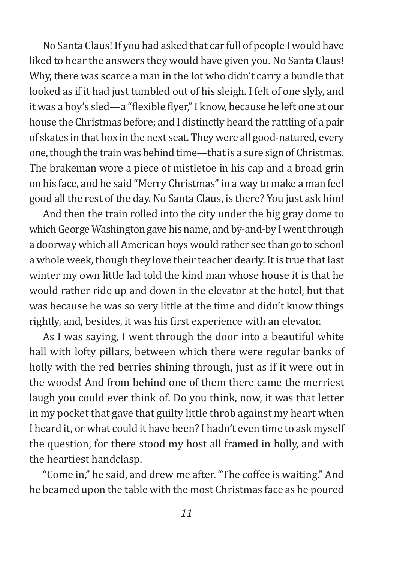No Santa Claus! If you had asked that car full of people I would have liked to hear the answers they would have given you. No Santa Claus! Why, there was scarce a man in the lot who didn't carry a bundle that looked as if it had just tumbled out of his sleigh. I felt of one slyly, and it was a boy's sled—a "flexible flyer," I know, because he left one at our house the Christmas before; and I distinctly heard the rattling of a pair of skates in that box in the next seat. They were all good-natured, every one, though the train was behind time—that is a sure sign of Christmas. The brakeman wore a piece of mistletoe in his cap and a broad grin on his face, and he said "Merry Christmas" in a way to make a man feel good all the rest of the day. No Santa Claus, is there? You just ask him!

And then the train rolled into the city under the big gray dome to which George Washington gave his name, and by-and-by I went through a doorway which all American boys would rather see than go to school a whole week, though they love their teacher dearly. It is true that last winter my own little lad told the kind man whose house it is that he would rather ride up and down in the elevator at the hotel, but that was because he was so very little at the time and didn't know things rightly, and, besides, it was his first experience with an elevator.

As I was saying, I went through the door into a beautiful white hall with lofty pillars, between which there were regular banks of holly with the red berries shining through, just as if it were out in the woods! And from behind one of them there came the merriest laugh you could ever think of. Do you think, now, it was that letter in my pocket that gave that guilty little throb against my heart when I heard it, or what could it have been? I hadn't even time to ask myself the question, for there stood my host all framed in holly, and with the heartiest handclasp.

"Come in," he said, and drew me after. "The coffee is waiting." And he beamed upon the table with the most Christmas face as he poured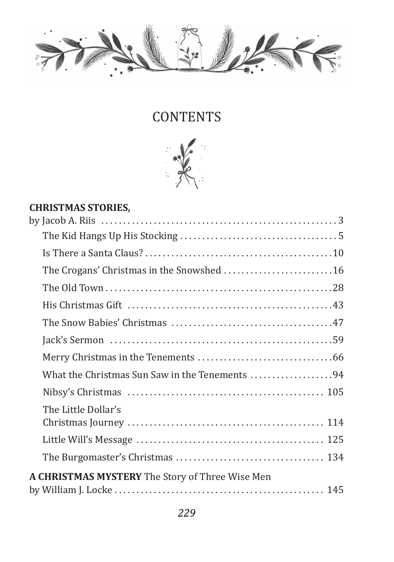

# **CONTENTS**



### **Christmas Stories,**

| The Crogans' Christmas in the Snowshed 16       |  |
|-------------------------------------------------|--|
|                                                 |  |
|                                                 |  |
|                                                 |  |
|                                                 |  |
|                                                 |  |
| What the Christmas Sun Saw in the Tenements 94  |  |
|                                                 |  |
| The Little Dollar's                             |  |
|                                                 |  |
|                                                 |  |
| A CHRISTMAS MYSTERY The Story of Three Wise Men |  |
|                                                 |  |